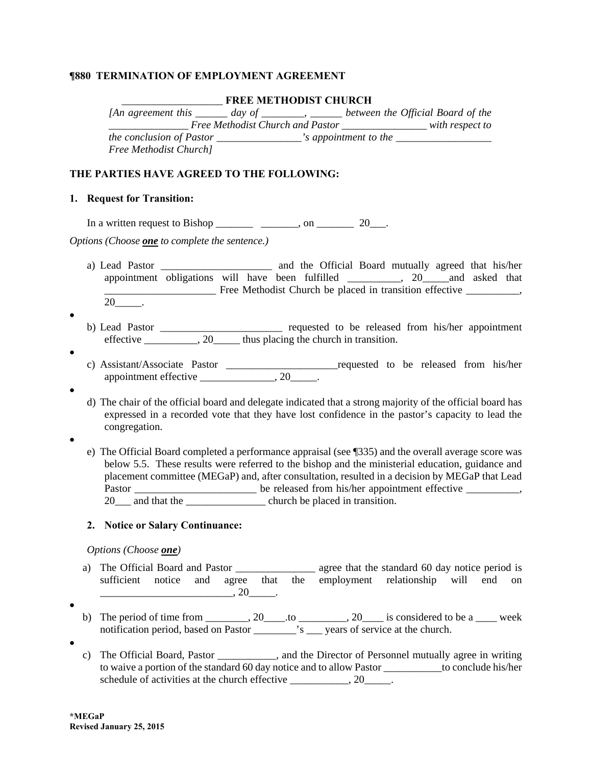### *¶***880 TERMINATION OF EMPLOYMENT AGREEMENT**

#### \_\_\_\_\_\_\_\_\_\_\_\_\_\_\_\_\_\_\_ **FREE METHODIST CHURCH**

| <i>An agreement this day of</i> |                                  |                       | between the Official Board of the |
|---------------------------------|----------------------------------|-----------------------|-----------------------------------|
|                                 | Free Methodist Church and Pastor |                       | with respect to                   |
| <i>the conclusion of Pastor</i> |                                  | 's appointment to the |                                   |
| <b>Free Methodist Church</b> ]  |                                  |                       |                                   |

### **THE PARTIES HAVE AGREED TO THE FOLLOWING:**

#### **1. Request for Transition:**

In a written request to Bishop \_\_\_\_\_\_\_ \_\_\_\_\_\_\_, on \_\_\_\_\_\_\_ 20\_\_\_.

*Options (Choose one to complete the sentence.)* 

- a) Lead Pastor \_\_\_\_\_\_\_\_\_\_\_\_\_\_\_\_\_\_\_\_\_ and the Official Board mutually agreed that his/her appointment obligations will have been fulfilled  $\qquad \qquad$ , 20 and asked that **Example 20** Free Methodist Church be placed in transition effective \_\_\_\_\_\_\_\_,  $20$ \_\_\_\_\_\_.
- $\bullet$
- b) Lead Pastor \_\_\_\_\_\_\_\_\_\_\_\_\_\_\_\_\_\_\_\_\_\_\_ requested to be released from his/her appointment effective \_\_\_\_\_\_\_\_\_, 20\_\_\_\_\_ thus placing the church in transition.
- $\bullet$
- c) Assistant/Associate Pastor \_\_\_\_\_\_\_\_\_\_\_\_\_\_\_\_\_\_\_\_\_requested to be released from his/her appointment effective  $\frac{\qquad \qquad}{\qquad \qquad 20 \qquad \qquad}.$
- $\bullet$
- d) The chair of the official board and delegate indicated that a strong majority of the official board has expressed in a recorded vote that they have lost confidence in the pastor's capacity to lead the congregation.
- $\bullet$
- e) The Official Board completed a performance appraisal (see ¶335) and the overall average score was below 5.5. These results were referred to the bishop and the ministerial education, guidance and placement committee (MEGaP) and, after consultation, resulted in a decision by MEGaP that Lead Pastor \_\_\_\_\_\_\_\_\_\_\_\_\_\_\_\_\_\_\_\_\_\_\_\_\_\_\_ be released from his/her appointment effective \_\_\_\_\_\_\_\_\_, 20 and that the <u>\_\_\_\_\_\_\_\_\_</u> church be placed in transition.

#### **2. Notice or Salary Continuance:**

#### *Options (Choose one)*

- a) The Official Board and Pastor \_\_\_\_\_\_\_\_\_\_\_\_\_\_\_\_\_\_ agree that the standard 60 day notice period is sufficient notice and agree that the employment relationship will end on  $\overline{\phantom{a}}$ , 20 $\overline{\phantom{a}}$ .
- $\bullet$
- b) The period of time from \_\_\_\_\_\_\_, 20\_\_\_\_\_\_, to \_\_\_\_\_\_\_\_\_, 20\_\_\_\_\_ is considered to be a \_\_\_\_ week notification period, based on Pastor \_\_\_\_\_\_\_\_\_\_'s \_\_\_\_ years of service at the church.
- $\bullet$
- c) The Official Board, Pastor \_\_\_\_\_\_\_\_\_\_\_, and the Director of Personnel mutually agree in writing to waive a portion of the standard 60 day notice and to allow Pastor \_\_\_\_\_\_\_\_\_\_\_to conclude his/her schedule of activities at the church effective \_\_\_\_\_\_\_\_\_, 20\_\_\_\_\_.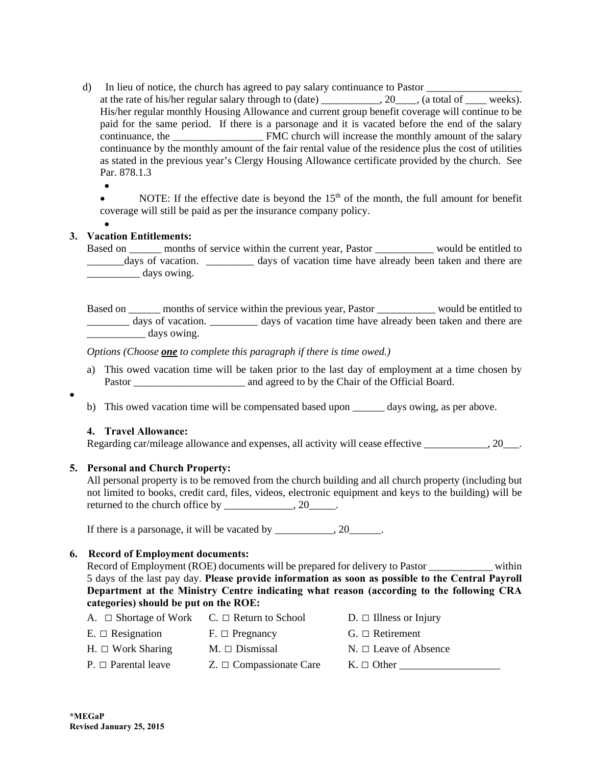- d) In lieu of notice, the church has agreed to pay salary continuance to Pastor at the rate of his/her regular salary through to (date) \_\_\_\_\_\_\_\_\_\_, 20\_\_\_\_, (a total of \_\_\_\_ weeks). His/her regular monthly Housing Allowance and current group benefit coverage will continue to be paid for the same period. If there is a parsonage and it is vacated before the end of the salary continuance, the **EMC** church will increase the monthly amount of the salary continuance by the monthly amount of the fair rental value of the residence plus the cost of utilities as stated in the previous year's Clergy Housing Allowance certificate provided by the church. See Par. 878.1.3
	- $\bullet$

 $\bullet$ 

NOTE: If the effective date is beyond the  $15<sup>th</sup>$  of the month, the full amount for benefit coverage will still be paid as per the insurance company policy.

#### $\bullet$ **3. Vacation Entitlements:**

Based on \_\_\_\_\_\_\_ months of service within the current year, Pastor \_\_\_\_\_\_\_\_\_\_\_\_\_ would be entitled to \_\_\_\_\_\_\_days of vacation. \_\_\_\_\_\_\_\_\_ days of vacation time have already been taken and there are days owing.

Based on \_\_\_\_\_\_ months of service within the previous year, Pastor \_\_\_\_\_\_\_\_\_\_\_ would be entitled to \_\_\_\_\_\_\_\_ days of vacation. \_\_\_\_\_\_\_\_\_ days of vacation time have already been taken and there are days owing.

*Options (Choose one to complete this paragraph if there is time owed.)* 

- a) This owed vacation time will be taken prior to the last day of employment at a time chosen by Pastor \_\_\_\_\_\_\_\_\_\_\_\_\_\_\_\_\_\_\_\_\_ and agreed to by the Chair of the Official Board.
- b) This owed vacation time will be compensated based upon days owing, as per above.

## **4. Travel Allowance:**

Regarding car/mileage allowance and expenses, all activity will cease effective  $\qquad \qquad .20$ .

## **5. Personal and Church Property:**

All personal property is to be removed from the church building and all church property (including but not limited to books, credit card, files, videos, electronic equipment and keys to the building) will be returned to the church office by \_\_\_\_\_\_\_\_\_\_\_\_, 20\_\_\_\_\_.

If there is a parsonage, it will be vacated by  $\qquad \qquad .20$ 

# **6. Record of Employment documents:**

Record of Employment (ROE) documents will be prepared for delivery to Pastor within 5 days of the last pay day. **Please provide information as soon as possible to the Central Payroll Department at the Ministry Centre indicating what reason (according to the following CRA categories) should be put on the ROE:** 

| A. $\Box$ Shortage of Work $C. \Box$ Return to School |                              | $D. \Box$ Illness or Injury |
|-------------------------------------------------------|------------------------------|-----------------------------|
| $E. \Box$ Resignation                                 | $F. \Box$ Pregnancy          | $G. \Box$ Retirement        |
| $H. \Box$ Work Sharing                                | $M. \Box$ Dismissal          | $N. \Box$ Leave of Absence  |
| $P_{\cdot} \square$ Parental leave                    | $Z. \Box$ Compassionate Care | $K_{\cdot} \square$ Other   |
|                                                       |                              |                             |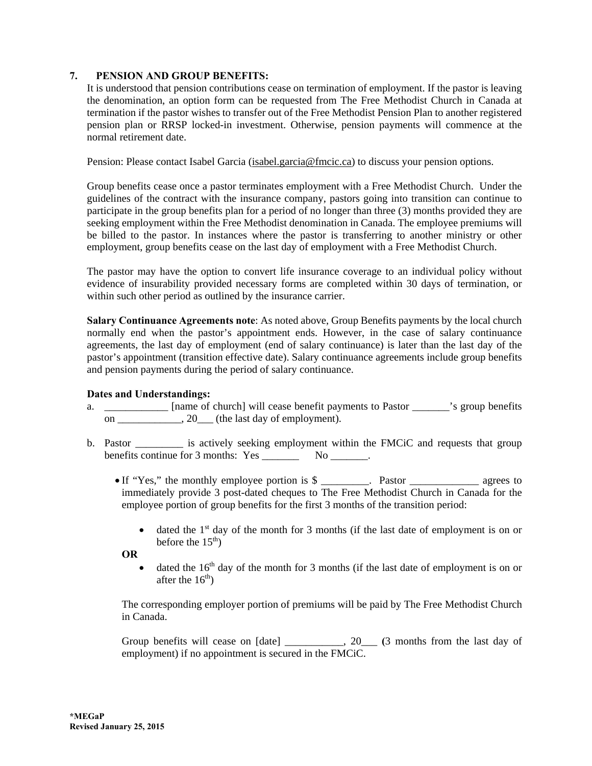# **7. PENSION AND GROUP BENEFITS:**

It is understood that pension contributions cease on termination of employment. If the pastor is leaving the denomination, an option form can be requested from The Free Methodist Church in Canada at termination if the pastor wishes to transfer out of the Free Methodist Pension Plan to another registered pension plan or RRSP locked-in investment. Otherwise, pension payments will commence at the normal retirement date.

Pension: Please contact Isabel Garcia (isabel.garcia@fmcic.ca) to discuss your pension options.

Group benefits cease once a pastor terminates employment with a Free Methodist Church. Under the guidelines of the contract with the insurance company, pastors going into transition can continue to participate in the group benefits plan for a period of no longer than three (3) months provided they are seeking employment within the Free Methodist denomination in Canada. The employee premiums will be billed to the pastor. In instances where the pastor is transferring to another ministry or other employment, group benefits cease on the last day of employment with a Free Methodist Church.

The pastor may have the option to convert life insurance coverage to an individual policy without evidence of insurability provided necessary forms are completed within 30 days of termination, or within such other period as outlined by the insurance carrier.

**Salary Continuance Agreements note**: As noted above, Group Benefits payments by the local church normally end when the pastor's appointment ends. However, in the case of salary continuance agreements, the last day of employment (end of salary continuance) is later than the last day of the pastor's appointment (transition effective date). Salary continuance agreements include group benefits and pension payments during the period of salary continuance.

## **Dates and Understandings:**

- a. [name of church] will cease benefit payments to Pastor is group benefits on  $\frac{1}{\sqrt{2}}$ , 20 (the last day of employment).
- b. Pastor is actively seeking employment within the FMCiC and requests that group benefits continue for 3 months: Yes \_\_\_\_\_\_\_\_\_\_ No \_\_\_\_\_\_\_.
	- If "Yes," the monthly employee portion is \$ \_\_\_\_\_\_\_\_. Pastor \_\_\_\_\_\_\_\_\_\_\_\_\_\_\_\_\_ agrees to immediately provide 3 post-dated cheques to The Free Methodist Church in Canada for the employee portion of group benefits for the first 3 months of the transition period:
		- $\bullet$  dated the 1<sup>st</sup> day of the month for 3 months (if the last date of employment is on or before the  $15<sup>th</sup>$ )

**OR** 

 $\bullet$  dated the 16<sup>th</sup> day of the month for 3 months (if the last date of employment is on or after the  $16<sup>th</sup>$ )

The corresponding employer portion of premiums will be paid by The Free Methodist Church in Canada.

Group benefits will cease on [date] \_\_\_\_\_\_\_\_\_, 20\_\_\_ **(3** months from the last day of employment) if no appointment is secured in the FMCiC.